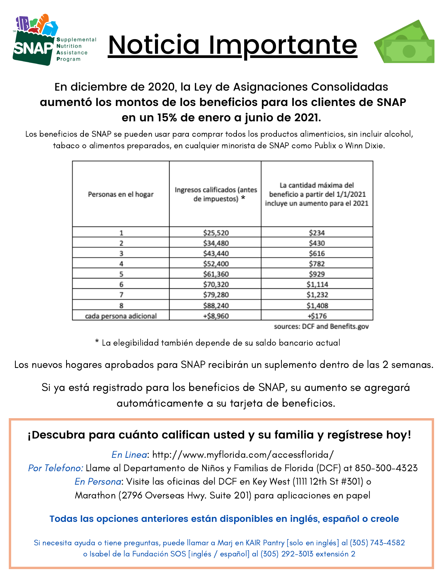





## En diciembre de 2020, la Ley de Asignaciones Consolidadas **aumentó los montos de los beneficios para los clientes de SNAP en un 15% de enero a junio de 2021.**

Los beneficios de SNAP se pueden usar para comprar todos los productos alimenticios, sin incluir alcohol, tabaco o alimentos preparados, en cualquier minorista de SNAP como Publix o Winn Dixie.

| Personas en el hogar   | Ingresos calificados (antes<br>de impuestos) * | La cantidad máxima del<br>beneficio a partir del 1/1/2021<br>incluye un aumento para el 2021 |
|------------------------|------------------------------------------------|----------------------------------------------------------------------------------------------|
|                        | \$25,520                                       | \$234                                                                                        |
| 2                      | \$34,480                                       | \$430                                                                                        |
| 3                      | \$43,440                                       | \$616                                                                                        |
|                        | \$52,400                                       | \$782                                                                                        |
| 5                      | \$61,360                                       | \$929                                                                                        |
| 6                      | \$70,320                                       | \$1,114                                                                                      |
|                        | \$79,280                                       | \$1,232                                                                                      |
| 8                      | \$88,240                                       | \$1,408                                                                                      |
| cada persona adicional | +\$8,960                                       | +\$176                                                                                       |

sources: DCF and Benefits.gov

\* La elegibilidad también depende de su saldo bancario actual

Los nuevos hogares aprobados para SNAP recibirán un suplemento dentro de las 2 semanas.

Si ya está registrado para los beneficios de SNAP, su aumento se agregará automáticamente a su tarjeta de beneficios.

### **¡Descubra para cuánto califican usted y su familia y regístrese hoy!**

En Linea: http://www.myflorida.com/accessflorida/

Por Telefono: Llame al Departamento de Niños y Familias de Florida (DCF) at 850-300-4323 En Persona: Visite las oficinas del DCF en Key West (1111 12th St #301) o Marathon (2796 Overseas Hwy. Suite 201) para aplicaciones en papel

#### **Todas las opciones anteriores están disponibles en inglés, español o creole**

Si necesita ayuda o tiene preguntas, puede llamar a Marj en KAIR Pantry [solo en inglés] al (305) 743-4582 o Isabel de la Fundación SOS [inglés / español] al (305) 292-3013 extensión 2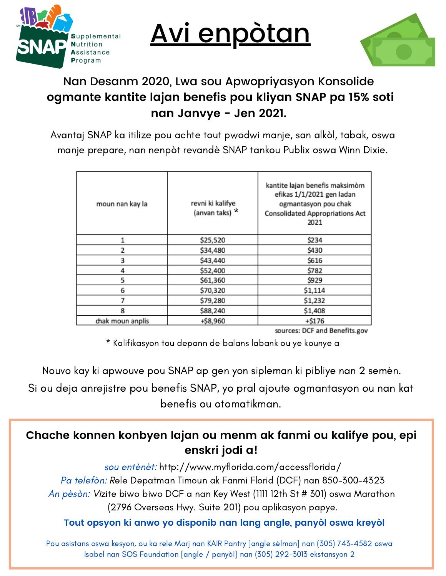

Avi enpòtan



# Nan Desanm 2020, Lwa sou Apwopriyasyon Konsolide **ogmante kantite lajan benefis pou kliyan SNAP pa 15% soti nan Janvye - Jen 2021.**

Avantaj SNAP ka itilize pou achte tout pwodwi manje, san alkòl, tabak, oswa manje prepare, nan nenpòt revandè SNAP tankou Publix oswa Winn Dixie.

| moun nan kay la  | revni ki kalifye<br>(anvan taks) * | kantite lajan benefis maksimòm<br>efikas 1/1/2021 gen ladan<br>ogmantasyon pou chak<br>Consolidated Appropriations Act<br>2021 |
|------------------|------------------------------------|--------------------------------------------------------------------------------------------------------------------------------|
|                  | \$25,520                           | \$234                                                                                                                          |
| 2                | \$34,480                           | \$430                                                                                                                          |
| 3                | \$43,440                           | \$616                                                                                                                          |
|                  | \$52,400                           | \$782                                                                                                                          |
| 5                | \$61,360                           | \$929                                                                                                                          |
| 6                | \$70,320                           | \$1,114                                                                                                                        |
|                  | \$79,280                           | \$1,232                                                                                                                        |
| 8                | \$88,240                           | \$1,408                                                                                                                        |
| chak moun anplis | +\$8,960                           | $+ $176$                                                                                                                       |

sources: DCF and Benefits.gov

\* Kalifikasyon tou depann de balans labank ou ye kounye a

Nouvo kay ki apwouve pou SNAP ap gen yon sipleman ki pibliye nan 2 semèn.

Si ou deja anrejistre pou benefis SNAP, yo pral ajoute ogmantasyon ou nan kat benefis ou otomatikman.

### **Chache konnen konbyen lajan ou menm ak fanmi ou kalifye pou, epi enskri jodi a!**

sou entènèt: http://www.myflorida.com/accessflorida/ Pa telefòn: Rele Depatman Timoun ak Fanmi Florid (DCF) nan 850-300-4323 An pèsòn: Vizite biwo biwo DCF a nan Key West (1111 12th St # 301) oswa Marathon (2796 Overseas Hwy. Suite 201) pou aplikasyon papye.

#### **Tout opsyon ki anwo yo disponib nan lang angle, panyòl oswa kreyòl**

Pou asistans oswa kesyon, ou ka rele Marj nan KAIR Pantry [angle sèlman] nan (305) 743-4582 oswa Isabel nan SOS Foundation [angle / panyòl] nan (305) 292-3013 ekstansyon 2